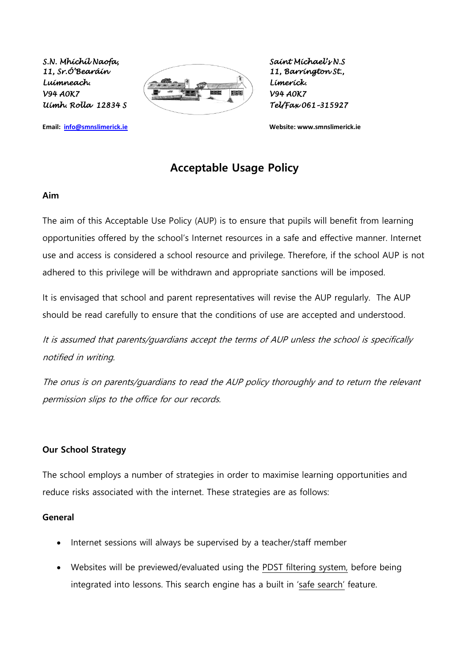

**Email: [info@smnslimerick.ie](mailto:info@smnslimerick.ie) Website: www.smnslimerick.ie**

# **Acceptable Usage Policy**

#### **Aim**

The aim of this Acceptable Use Policy (AUP) is to ensure that pupils will benefit from learning opportunities offered by the school's Internet resources in a safe and effective manner. Internet use and access is considered a school resource and privilege. Therefore, if the school AUP is not adhered to this privilege will be withdrawn and appropriate sanctions will be imposed.

It is envisaged that school and parent representatives will revise the AUP regularly. The AUP should be read carefully to ensure that the conditions of use are accepted and understood.

It is assumed that parents/guardians accept the terms of AUP unless the school is specifically notified in writing.

The onus is on parents/guardians to read the AUP policy thoroughly and to return the relevant permission slips to the office for our records.

#### **Our School Strategy**

The school employs a number of strategies in order to maximise learning opportunities and reduce risks associated with the internet. These strategies are as follows:

#### **General**

- Internet sessions will always be supervised by a teacher/staff member
- Websites will be previewed/evaluated using the PDST filtering system, before being integrated into lessons. This search engine has a built in 'safe search' feature.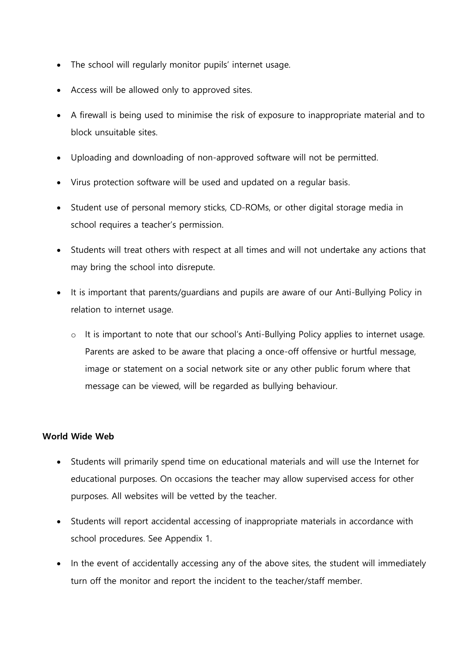- The school will regularly monitor pupils' internet usage.
- Access will be allowed only to approved sites.
- A firewall is being used to minimise the risk of exposure to inappropriate material and to block unsuitable sites.
- Uploading and downloading of non-approved software will not be permitted.
- Virus protection software will be used and updated on a regular basis.
- Student use of personal memory sticks, CD-ROMs, or other digital storage media in school requires a teacher's permission.
- Students will treat others with respect at all times and will not undertake any actions that may bring the school into disrepute.
- It is important that parents/guardians and pupils are aware of our Anti-Bullying Policy in relation to internet usage.
	- o It is important to note that our school's Anti-Bullying Policy applies to internet usage. Parents are asked to be aware that placing a once-off offensive or hurtful message, image or statement on a social network site or any other public forum where that message can be viewed, will be regarded as bullying behaviour.

### **World Wide Web**

- Students will primarily spend time on educational materials and will use the Internet for educational purposes. On occasions the teacher may allow supervised access for other purposes. All websites will be vetted by the teacher.
- Students will report accidental accessing of inappropriate materials in accordance with school procedures. See Appendix 1.
- In the event of accidentally accessing any of the above sites, the student will immediately turn off the monitor and report the incident to the teacher/staff member.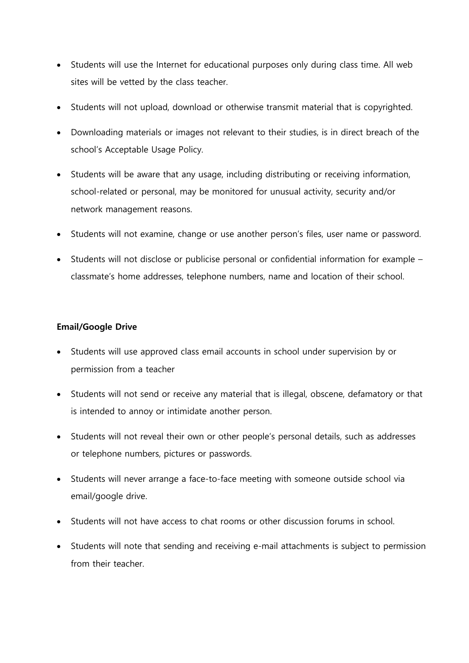- Students will use the Internet for educational purposes only during class time. All web sites will be vetted by the class teacher.
- Students will not upload, download or otherwise transmit material that is copyrighted.
- Downloading materials or images not relevant to their studies, is in direct breach of the school's Acceptable Usage Policy.
- Students will be aware that any usage, including distributing or receiving information, school-related or personal, may be monitored for unusual activity, security and/or network management reasons.
- Students will not examine, change or use another person's files, user name or password.
- Students will not disclose or publicise personal or confidential information for example classmate's home addresses, telephone numbers, name and location of their school.

#### **Email/Google Drive**

- Students will use approved class email accounts in school under supervision by or permission from a teacher
- Students will not send or receive any material that is illegal, obscene, defamatory or that is intended to annoy or intimidate another person.
- Students will not reveal their own or other people's personal details, such as addresses or telephone numbers, pictures or passwords.
- Students will never arrange a face-to-face meeting with someone outside school via email/google drive.
- Students will not have access to chat rooms or other discussion forums in school.
- Students will note that sending and receiving e-mail attachments is subject to permission from their teacher.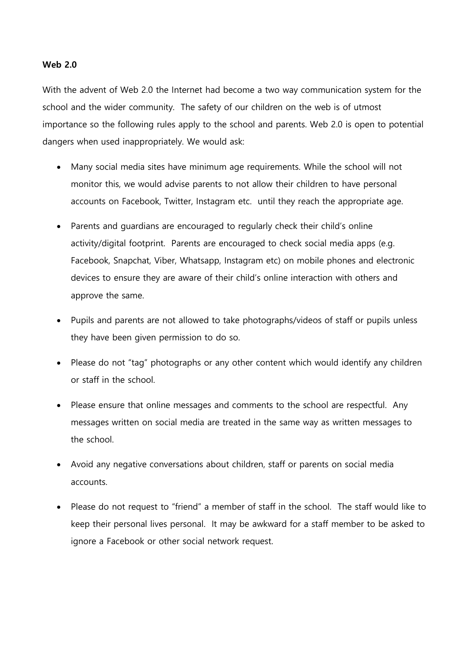#### **Web 2.0**

With the advent of Web 2.0 the Internet had become a two way communication system for the school and the wider community. The safety of our children on the web is of utmost importance so the following rules apply to the school and parents. Web 2.0 is open to potential dangers when used inappropriately. We would ask:

- Many social media sites have minimum age requirements. While the school will not monitor this, we would advise parents to not allow their children to have personal accounts on Facebook, Twitter, Instagram etc. until they reach the appropriate age.
- Parents and guardians are encouraged to regularly check their child's online activity/digital footprint. Parents are encouraged to check social media apps (e.g. Facebook, Snapchat, Viber, Whatsapp, Instagram etc) on mobile phones and electronic devices to ensure they are aware of their child's online interaction with others and approve the same.
- Pupils and parents are not allowed to take photographs/videos of staff or pupils unless they have been given permission to do so.
- Please do not "tag" photographs or any other content which would identify any children or staff in the school.
- Please ensure that online messages and comments to the school are respectful. Any messages written on social media are treated in the same way as written messages to the school.
- Avoid any negative conversations about children, staff or parents on social media accounts.
- Please do not request to "friend" a member of staff in the school. The staff would like to keep their personal lives personal. It may be awkward for a staff member to be asked to ignore a Facebook or other social network request.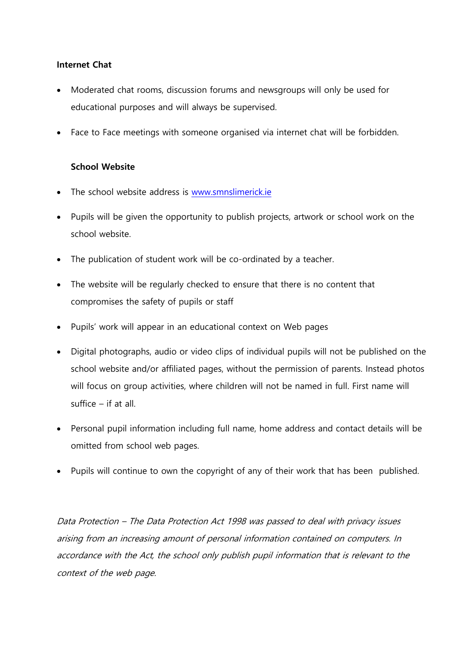### **Internet Chat**

- Moderated chat rooms, discussion forums and newsgroups will only be used for educational purposes and will always be supervised.
- Face to Face meetings with someone organised via internet chat will be forbidden.

### **School Website**

- The school website address is [www.smnslimerick.ie](http://www.smnslimerick.ie/)
- Pupils will be given the opportunity to publish projects, artwork or school work on the school website.
- The publication of student work will be co-ordinated by a teacher.
- The website will be regularly checked to ensure that there is no content that compromises the safety of pupils or staff
- Pupils' work will appear in an educational context on Web pages
- Digital photographs, audio or video clips of individual pupils will not be published on the school website and/or affiliated pages, without the permission of parents. Instead photos will focus on group activities, where children will not be named in full. First name will suffice – if at all.
- Personal pupil information including full name, home address and contact details will be omitted from school web pages.
- Pupils will continue to own the copyright of any of their work that has been published.

Data Protection – The Data Protection Act 1998 was passed to deal with privacy issues arising from an increasing amount of personal information contained on computers. In accordance with the Act, the school only publish pupil information that is relevant to the context of the web page.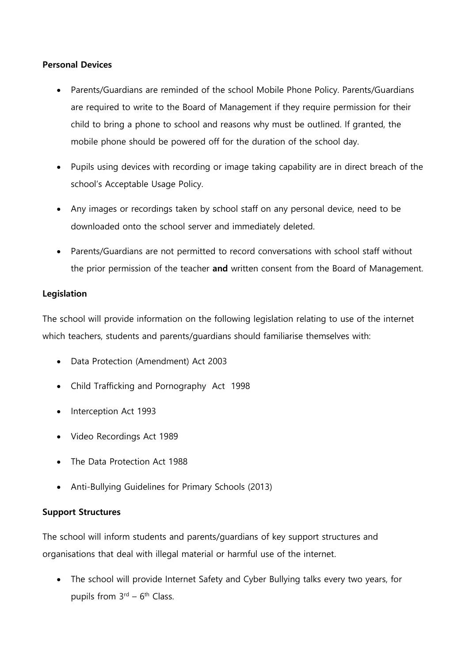### **Personal Devices**

- Parents/Guardians are reminded of the school Mobile Phone Policy. Parents/Guardians are required to write to the Board of Management if they require permission for their child to bring a phone to school and reasons why must be outlined. If granted, the mobile phone should be powered off for the duration of the school day.
- Pupils using devices with recording or image taking capability are in direct breach of the school's Acceptable Usage Policy.
- Any images or recordings taken by school staff on any personal device, need to be downloaded onto the school server and immediately deleted.
- Parents/Guardians are not permitted to record conversations with school staff without the prior permission of the teacher **and** written consent from the Board of Management.

### **Legislation**

The school will provide information on the following legislation relating to use of the internet which teachers, students and parents/guardians should familiarise themselves with:

- Data Protection (Amendment) Act 2003
- Child Trafficking and Pornography Act 1998
- Interception Act 1993
- Video Recordings Act 1989
- The Data Protection Act 1988
- Anti-Bullying Guidelines for Primary Schools (2013)

## **Support Structures**

The school will inform students and parents/guardians of key support structures and organisations that deal with illegal material or harmful use of the internet.

• The school will provide Internet Safety and Cyber Bullying talks every two years, for pupils from  $3<sup>rd</sup> - 6<sup>th</sup>$  Class.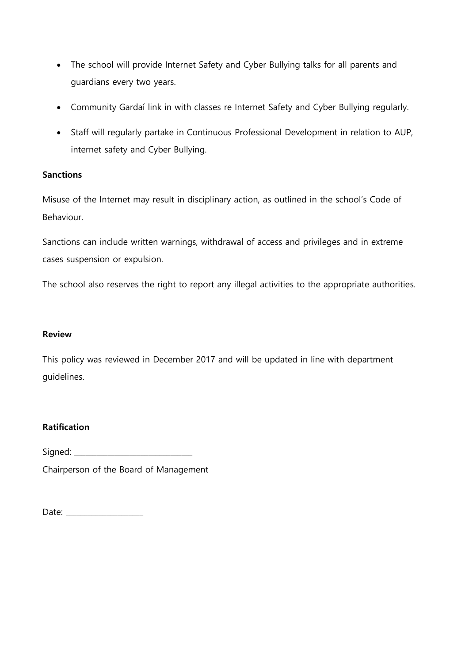- The school will provide Internet Safety and Cyber Bullying talks for all parents and guardians every two years.
- Community Gardaí link in with classes re Internet Safety and Cyber Bullying regularly.
- Staff will regularly partake in Continuous Professional Development in relation to AUP, internet safety and Cyber Bullying.

### **Sanctions**

Misuse of the Internet may result in disciplinary action, as outlined in the school's Code of Behaviour.

Sanctions can include written warnings, withdrawal of access and privileges and in extreme cases suspension or expulsion.

The school also reserves the right to report any illegal activities to the appropriate authorities.

#### **Review**

This policy was reviewed in December 2017 and will be updated in line with department guidelines.

### **Ratification**

Signed:

Chairperson of the Board of Management

Date: \_\_\_\_\_\_\_\_\_\_\_\_\_\_\_\_\_\_\_\_\_